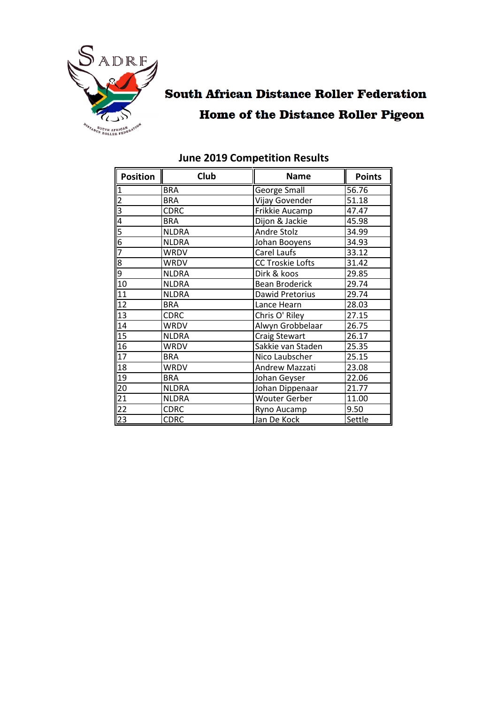

### **South African Distance Roller Federation Home of the Distance Roller Pigeon**

| <b>Position</b>         | Club         | <b>Name</b>             | <b>Points</b> |
|-------------------------|--------------|-------------------------|---------------|
|                         | <b>BRA</b>   | George Small            | 56.76         |
| $\overline{2}$          | <b>BRA</b>   | Vijay Govender          | 51.18         |
| $\overline{\mathsf{B}}$ | CDRC         | Frikkie Aucamp          | 47.47         |
| 4                       | <b>BRA</b>   | Dijon & Jackie          | 45.98         |
| 5                       | <b>NLDRA</b> | Andre Stolz             | 34.99         |
| $\overline{6}$          | <b>NLDRA</b> | Johan Booyens           | 34.93         |
| $\overline{7}$          | <b>WRDV</b>  | Carel Laufs             | 33.12         |
| 8                       | <b>WRDV</b>  | <b>CC Troskie Lofts</b> | 31.42         |
| $\overline{9}$          | <b>NLDRA</b> | Dirk & koos             | 29.85         |
| 10                      | <b>NLDRA</b> | <b>Bean Broderick</b>   | 29.74         |
| 11                      | <b>NLDRA</b> | Dawid Pretorius         | 29.74         |
| $\overline{12}$         | <b>BRA</b>   | Lance Hearn             | 28.03         |
| $\overline{13}$         | <b>CDRC</b>  | Chris O' Riley          | 27.15         |
| 14                      | <b>WRDV</b>  | Alwyn Grobbelaar        | 26.75         |
| $\overline{15}$         | <b>NLDRA</b> | Craig Stewart           | 26.17         |
| $\overline{16}$         | WRDV         | Sakkie van Staden       | 25.35         |
| $\overline{17}$         | <b>BRA</b>   | Nico Laubscher          | 25.15         |
| 18                      | WRDV         | Andrew Mazzati          | 23.08         |
| 19                      | <b>BRA</b>   | Johan Geyser            | 22.06         |
| $\overline{20}$         | <b>NLDRA</b> | Johan Dippenaar         | 21.77         |
| $\overline{21}$         | <b>NLDRA</b> | <b>Wouter Gerber</b>    | 11.00         |
| $\overline{22}$         | <b>CDRC</b>  | 9.50<br>Ryno Aucamp     |               |
| $\overline{23}$         | <b>CDRC</b>  | Jan De Kock             | Settle        |

### **June 2019 Competition Results**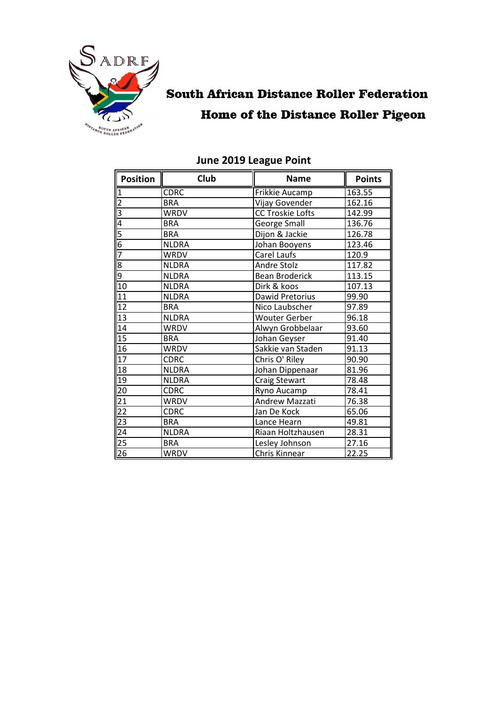

## **South African Distance Roller Federation Home of the Distance Roller Pigeon**

| Position        | Club         | <b>Name</b>             | <b>Points</b> |
|-----------------|--------------|-------------------------|---------------|
| $\overline{1}$  | <b>CDRC</b>  | Frikkie Aucamp          | 163.55        |
| $\overline{2}$  | <b>BRA</b>   | Vijay Govender          | 162.16        |
| $\overline{3}$  | <b>WRDV</b>  | <b>CC Troskie Lofts</b> | 142.99        |
| 4               | <b>BRA</b>   | George Small            | 136.76        |
| 5               | <b>BRA</b>   | Dijon & Jackie          | 126.78        |
| 6               | <b>NLDRA</b> | Johan Booyens           | 123.46        |
| 7               | <b>WRDV</b>  | Carel Laufs             | 120.9         |
| 8               | <b>NLDRA</b> | Andre Stolz             | 117.82        |
| 9               | <b>NLDRA</b> | <b>Bean Broderick</b>   | 113.15        |
| 10              | <b>NLDRA</b> | Dirk & koos             | 107.13        |
| 11              | <b>NLDRA</b> | Dawid Pretorius         | 99.90         |
| 12              | <b>BRA</b>   | Nico Laubscher          | 97.89         |
| 13              | <b>NLDRA</b> | <b>Wouter Gerber</b>    | 96.18         |
| 14              | <b>WRDV</b>  | Alwyn Grobbelaar        | 93.60         |
| 15              | <b>BRA</b>   | Johan Geyser            | 91.40         |
| $\overline{16}$ | <b>WRDV</b>  | Sakkie van Staden       | 91.13         |
| $\overline{17}$ | <b>CDRC</b>  | Chris O' Riley          | 90.90         |
| 18              | <b>NLDRA</b> | Johan Dippenaar         | 81.96         |
| 19              | <b>NLDRA</b> | Craig Stewart           | 78.48         |
| 20              | <b>CDRC</b>  | Ryno Aucamp             | 78.41         |
| 21              | <b>WRDV</b>  | Andrew Mazzati          | 76.38         |
| 22              | <b>CDRC</b>  | Jan De Kock             | 65.06         |
| 23              | <b>BRA</b>   | Lance Hearn             | 49.81         |
| 24              | <b>NLDRA</b> | Riaan Holtzhausen       | 28.31         |
| 25              | <b>BRA</b>   | Lesley Johnson<br>27.16 |               |
| 26              | <b>WRDV</b>  | 22.25<br>Chris Kinnear  |               |

# **June 2019 League Point**